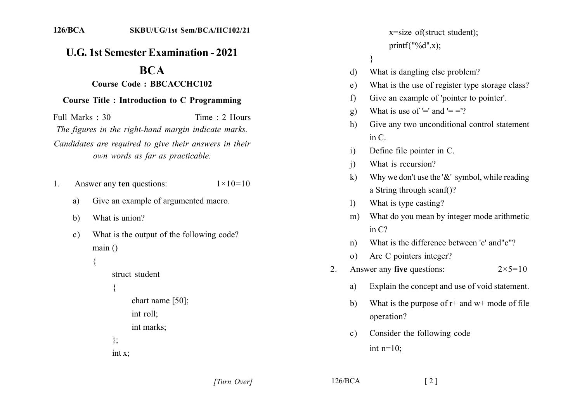## **U.G. 1st Semester Examination - 2021**

## **BCA**

## **Course Code: BBCACCHC102**

## **Course Title: Introduction to C Programming**

Full Marks  $\cdot$  30 Time  $\cdot$  2 Hours The figures in the right-hand margin indicate marks. Candidates are required to give their answers in their own words as far as practicable.

- Answer any ten questions:  $1 \times 10 = 10$  $\mathbf{1}$ .
	- Give an example of argumented macro. a)
	- What is union?  $\mathbf{b}$
	- What is the output of the following code?  $\mathbf{c}$ )  $main()$

```
\{
```

```
struct student
```

```
chart name [50];
int roll;
```

```
int marks:
```

```
\};
```
 $int x$ 

x=size of(struct student); printf{"%d",x);  $\mathcal{E}$ What is dangling else problem? What is the use of register type storage class? Give an example of 'pointer to pointer'. What is use of '=' and '= ='? Give any two unconditional control statement  $\overline{\text{in } C}$ Define file pointer in C. What is recursion? Why we don't use the ' $&$ ' symbol, while reading a String through scanf()? What is type casting? What do you mean by integer mode arithmetic  $m$ ) in  $C$ ?

- What is the difference between 'c' and "c"?  $n)$
- Are C pointers integer?  $\Omega$
- Answer any five questions:  $2 \times 5 = 10$ 2.
	- Explain the concept and use of void statement. a)
	- What is the purpose of  $r$  + and  $w$  + mode of file  $h$ operation?
	- Consider the following code  $\mathbf{c}$ ) int  $n=10$ ;

[Turn Over]

 $126/BCA$ 

d)

 $e)$ 

 $f$ 

 $g)$ 

h)

 $\mathbf{i}$ 

 $\ddot{1}$ 

 $\bf k$ 

 $\mathbf{D}$